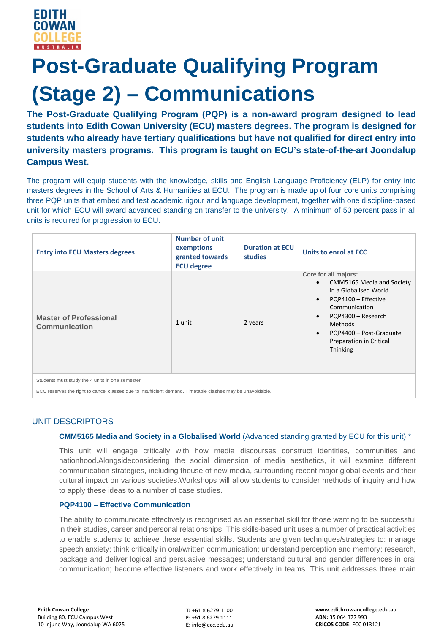# **Post-Graduate Qualifying Program (Stage 2) – Communications**

**The Post-Graduate Qualifying Program (PQP) is a non-award program designed to lead students into Edith Cowan University (ECU) masters degrees. The program is designed for students who already have tertiary qualifications but have not qualified for direct entry into university masters programs. This program is taught on ECU's state-of-the-art Joondalup Campus West.**

The program will equip students with the knowledge, skills and English Language Proficiency (ELP) for entry into masters degrees in the School of Arts & Humanities at ECU. The program is made up of four core units comprising three PQP units that embed and test academic rigour and language development, together with one discipline-based unit for which ECU will award advanced standing on transfer to the university. A minimum of 50 percent pass in all units is required for progression to ECU.

| <b>Entry into ECU Masters degrees</b>                                                                      | <b>Number of unit</b><br>exemptions<br>granted towards<br><b>ECU degree</b> | <b>Duration at ECU</b><br><b>studies</b> | Units to enrol at ECC                                                                                                                                                                                                                                                                          |
|------------------------------------------------------------------------------------------------------------|-----------------------------------------------------------------------------|------------------------------------------|------------------------------------------------------------------------------------------------------------------------------------------------------------------------------------------------------------------------------------------------------------------------------------------------|
| <b>Master of Professional</b><br>Communication                                                             | 1 unit                                                                      | 2 years                                  | Core for all majors:<br><b>CMM5165 Media and Society</b><br>$\bullet$<br>in a Globalised World<br>PQP4100 - Effective<br>$\bullet$<br>Communication<br>PQP4300 - Research<br>$\bullet$<br><b>Methods</b><br>PQP4400 - Post-Graduate<br>$\bullet$<br>Preparation in Critical<br><b>Thinking</b> |
| Students must study the 4 units in one semester                                                            |                                                                             |                                          |                                                                                                                                                                                                                                                                                                |
| ECC reserves the right to cancel classes due to insufficient demand. Timetable clashes may be unavoidable. |                                                                             |                                          |                                                                                                                                                                                                                                                                                                |

## UNIT DESCRIPTORS

### **CMM5165 Media and Society in a Globalised World** (Advanced standing granted by ECU for this unit) \*

This unit will engage critically with how media discourses construct identities, communities and nationhood.Alongsideconsidering the social dimension of media aesthetics, it will examine different communication strategies, including theuse of new media, surrounding recent major global events and their cultural impact on various societies.Workshops will allow students to consider methods of inquiry and how to apply these ideas to a number of case studies.

#### **PQP4100 – Effective Communication**

The ability to communicate effectively is recognised as an essential skill for those wanting to be successful in their studies, career and personal relationships. This skills-based unit uses a number of practical activities to enable students to achieve these essential skills. Students are given techniques/strategies to: manage speech anxiety; think critically in oral/written communication; understand perception and memory; research, package and deliver logical and persuasive messages; understand cultural and gender differences in oral communication; become effective listeners and work effectively in teams. This unit addresses three main